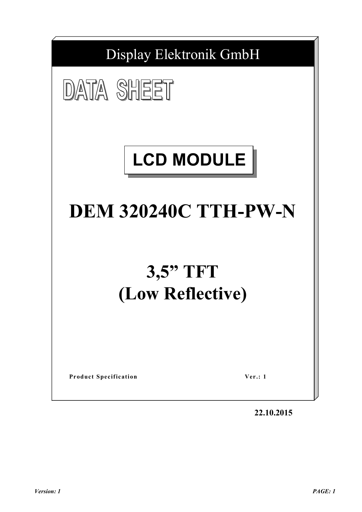

**22.10.2015**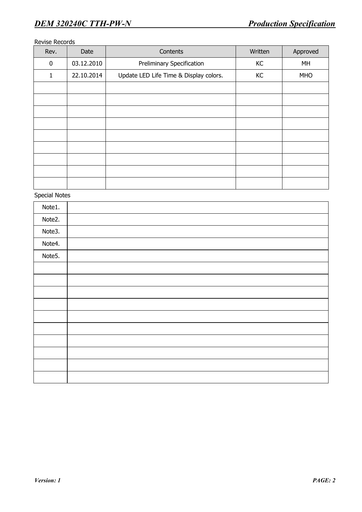#### Revise Records

| Rev.     | Date       | Contents                               | Written | Approved   |
|----------|------------|----------------------------------------|---------|------------|
| $\bf{0}$ | 03.12.2010 | <b>Preliminary Specification</b>       | KC      | MH         |
| 1        | 22.10.2014 | Update LED Life Time & Display colors. | KC      | <b>MHO</b> |
|          |            |                                        |         |            |
|          |            |                                        |         |            |
|          |            |                                        |         |            |
|          |            |                                        |         |            |
|          |            |                                        |         |            |
|          |            |                                        |         |            |
|          |            |                                        |         |            |
|          |            |                                        |         |            |
|          |            |                                        |         |            |

Special Notes

| Note1. |  |
|--------|--|
| Note2. |  |
| Note3. |  |
| Note4. |  |
| Note5. |  |
|        |  |
|        |  |
|        |  |
|        |  |
|        |  |
|        |  |
|        |  |
|        |  |
|        |  |
|        |  |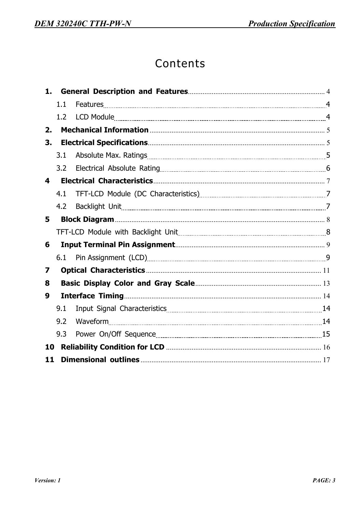# Contents

| 1.                      |     |                                                                                                                |  |
|-------------------------|-----|----------------------------------------------------------------------------------------------------------------|--|
|                         | 1.1 |                                                                                                                |  |
|                         | 1.2 |                                                                                                                |  |
| 2.                      |     |                                                                                                                |  |
| 3.                      |     |                                                                                                                |  |
|                         | 3.1 |                                                                                                                |  |
|                         | 3.2 |                                                                                                                |  |
| $\overline{\mathbf{4}}$ |     |                                                                                                                |  |
|                         | 4.1 | TFT-LCD Module (DC Characteristics) [2010] TFT-LCD Module (DC Characteristics) [2013] [2013] [2013] [2014] [20 |  |
|                         | 4.2 |                                                                                                                |  |
| 5                       |     |                                                                                                                |  |
|                         |     |                                                                                                                |  |
| 6                       |     |                                                                                                                |  |
|                         | 6.1 |                                                                                                                |  |
| 7                       |     |                                                                                                                |  |
| 8                       |     |                                                                                                                |  |
| 9                       |     |                                                                                                                |  |
|                         | 9.1 |                                                                                                                |  |
|                         | 9.2 | Waveform 14                                                                                                    |  |
|                         | 9.3 |                                                                                                                |  |
| 10                      |     |                                                                                                                |  |
| 11                      |     |                                                                                                                |  |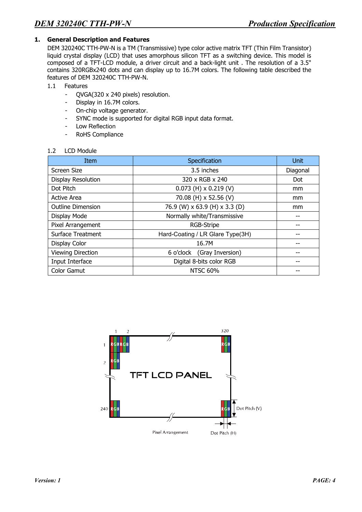## **1. General Description and Features**

DEM 320240C TTH-PW-N is a TM (Transmissive) type color active matrix TFT (Thin Film Transistor) liquid crystal display (LCD) that uses amorphous silicon TFT as a switching device. This model is composed of a TFT-LCD module, a driver circuit and a back-light unit . The resolution of a 3.5" contains 320RGBx240 dots and can display up to 16.7M colors. The following table described the features of DEM 320240C TTH-PW-N.

- 1.1 Features
	- QVGA(320 x 240 pixels) resolution.
	- Display in 16.7M colors.
	- On-chip voltage generator.
	- SYNC mode is supported for digital RGB input data format.
	- Low Reflection
	- RoHS Compliance

#### 1.2 LCD Module

| Item                      | Specification                    | Unit          |
|---------------------------|----------------------------------|---------------|
| Screen Size               | 3.5 inches                       | Diagonal      |
| <b>Display Resolution</b> | 320 x RGB x 240                  | Dot           |
| Dot Pitch                 | $0.073$ (H) x 0.219 (V)          | <sub>mm</sub> |
| <b>Active Area</b>        | 70.08 (H) x 52.56 (V)            | <sub>mm</sub> |
| <b>Outline Dimension</b>  | 76.9 (W) x 63.9 (H) x 3.3 (D)    | mm            |
| Display Mode              | Normally white/Transmissive      |               |
| Pixel Arrangement         | <b>RGB-Stripe</b>                |               |
| Surface Treatment         | Hard-Coating / LR Glare Type(3H) |               |
| Display Color             | 16.7M                            |               |
| <b>Viewing Direction</b>  | 6 o'clock (Gray Inversion)       |               |
| Input Interface           | Digital 8-bits color RGB         |               |
| Color Gamut               | <b>NTSC 60%</b>                  |               |

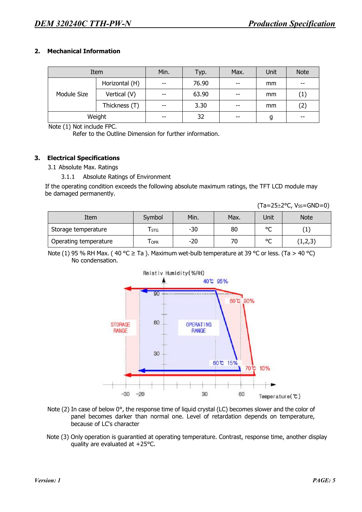#### **2. Mechanical Information**

|             | Item           | Min.  | Typ.  | Max.  | Unit | <b>Note</b> |
|-------------|----------------|-------|-------|-------|------|-------------|
|             | Horizontal (H) | $- -$ | 76.90 | $- -$ | mm   | $- -$       |
| Module Size | Vertical (V)   | $- -$ | 63.90 | $- -$ | mm   | (1)         |
|             | Thickness (T)  | $- -$ | 3.30  | $- -$ | mm   | (2)         |
|             | Weight         | $- -$ | 32    | $- -$ | g    | $- -$       |

Note (1) Not include FPC.

Refer to the Outline Dimension for further information.

#### **3. Electrical Specifications**

3.1 Absolute Max. Ratings

3.1.1 Absolute Ratings of Environment

If the operating condition exceeds the following absolute maximum ratings, the TFT LCD module may be damaged permanently.

| Item                  | Symbol | Min.  | Max. | Unit         | <b>Note</b> |
|-----------------------|--------|-------|------|--------------|-------------|
| Storage temperature   | i STG  | $-30$ | 80   | $\circ$<br>◡ | ÷           |
| Operating temperature | I OPR  | $-20$ | 70   | $\sim$<br>◡  | (1,2,3)     |

Note (1) 95 % RH Max. (40 °C  $\geq$  Ta ). Maximum wet-bulb temperature at 39 °C or less. (Ta  $>$  40 °C) No condensation.



- Note (2) In case of below 0°, the response time of liquid crystal (LC) becomes slower and the color of panel becomes darker than normal one. Level of retardation depends on temperature, because of LC's character
- Note (3) Only operation is guarantied at operating temperature. Contrast, response time, another display quality are evaluated at +25°C.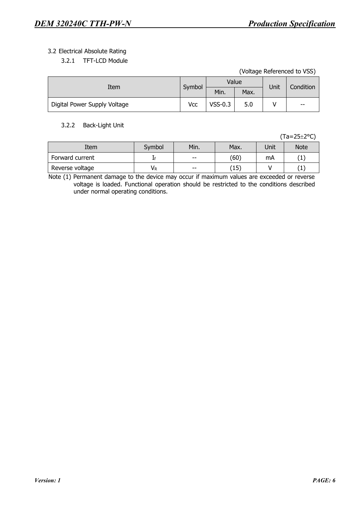## 3.2 Electrical Absolute Rating

| 3.2.1 | TFT-LCD Module |  |
|-------|----------------|--|
|       |                |  |

(Voltage Referenced to VSS)

| Item                         | Symbol |           | Value | Unit | Condition |  |
|------------------------------|--------|-----------|-------|------|-----------|--|
|                              |        | Min.      | Max.  |      |           |  |
| Digital Power Supply Voltage | Vcc    | $VSS-0.3$ | 5.0   |      | $- -$     |  |

#### 3.2.2 Back-Light Unit

(Ta=25±2°C)

| Item            | Symbol | Min.  | Max.      | Unit | Note |
|-----------------|--------|-------|-----------|------|------|
| Forward current |        | $- -$ | (60)      | mA   |      |
| Reverse voltage | VR     | $- -$ | 15'<br>⊥J |      |      |

Note (1) Permanent damage to the device may occur if maximum values are exceeded or reverse voltage is loaded. Functional operation should be restricted to the conditions described under normal operating conditions.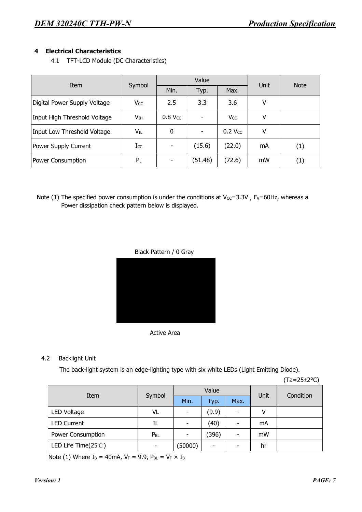## **4 Electrical Characteristics**

4.1 TFT-LCD Module (DC Characteristics)

| Item                         |          |           | Value                    | Unit            | <b>Note</b> |                  |
|------------------------------|----------|-----------|--------------------------|-----------------|-------------|------------------|
|                              | Symbol   | Min.      | Typ.                     | Max.            |             |                  |
| Digital Power Supply Voltage | Vcc      | 2.5       | 3.3                      | 3.6             | ۷           |                  |
| Input High Threshold Voltage | $V_{IH}$ | $0.8$ Vcc | $\overline{\phantom{a}}$ | V <sub>CC</sub> | ٧           |                  |
| Input Low Threshold Voltage  | $V_{IL}$ | 0         | $\overline{\phantom{a}}$ | $0.2$ Vcc       | ۷           |                  |
| Power Supply Current         | $I_{CC}$ | ٠         | (15.6)                   | (22.0)          | mA          | (1)              |
| Power Consumption            | $P_L$    |           | (51.48)                  | (72.6)          | mW          | $\left(1\right)$ |

Note (1) The specified power consumption is under the conditions at Vcc=3.3V, Fv=60Hz, whereas a Power dissipation check pattern below is displayed.







#### 4.2 Backlight Unit

The back-light system is an edge-lighting type with six white LEDs (Light Emitting Diode).

(Ta=25±2°C)

| Item                                 |                          |         | Value |      | Unit | Condition |
|--------------------------------------|--------------------------|---------|-------|------|------|-----------|
|                                      | Symbol                   | Min.    | Typ.  | Max. |      |           |
| LED Voltage                          | VL                       |         | (9.9) |      | ٧    |           |
| <b>LED Current</b>                   | IL                       |         | (40)  |      | mA   |           |
| Power Consumption                    | $P_{BL}$                 |         | (396) |      | mW   |           |
| LED Life Time $(25^{\circ}\text{C})$ | $\overline{\phantom{0}}$ | (50000) | ۰     |      | hr   |           |

Note (1) Where  $I_B = 40$ mA,  $V_F = 9.9$ ,  $P_{BL} = V_F \times I_B$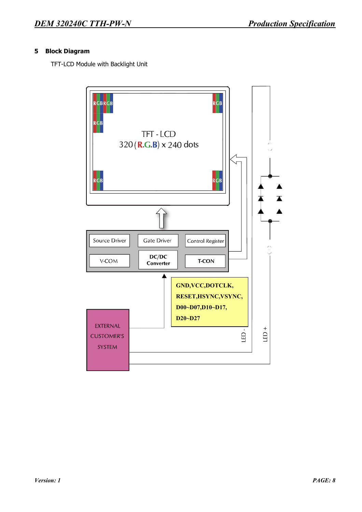## **5 Block Diagram**

TFT-LCD Module with Backlight Unit

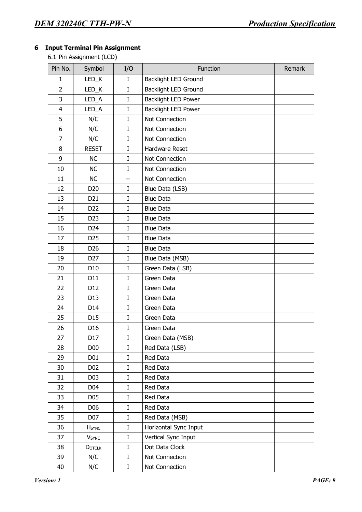## **6 Input Terminal Pin Assignment**

6.1 Pin Assignment (LCD)

| Pin No.                 | Symbol                   | I/O         | Function                    | Remark |
|-------------------------|--------------------------|-------------|-----------------------------|--------|
| 1                       | LED_K                    | $\mathbf I$ | <b>Backlight LED Ground</b> |        |
| $\overline{2}$          | LED_K                    | I           | <b>Backlight LED Ground</b> |        |
| 3                       | LED_A                    | $\mathbf I$ | <b>Backlight LED Power</b>  |        |
| $\overline{\mathbf{4}}$ | LED_A                    | $\mathbf I$ | <b>Backlight LED Power</b>  |        |
| 5                       | N/C                      | $\mathbf I$ | Not Connection              |        |
| 6                       | N/C                      | $\mathbf I$ | Not Connection              |        |
| 7                       | N/C                      | I           | Not Connection              |        |
| 8                       | <b>RESET</b>             | I           | <b>Hardware Reset</b>       |        |
| 9                       | NC                       | $\mathbf I$ | Not Connection              |        |
| 10                      | NC                       | I           | Not Connection              |        |
| 11                      | <b>NC</b>                | --          | Not Connection              |        |
| 12                      | D <sub>20</sub>          | $\mathbf I$ | Blue Data (LSB)             |        |
| 13                      | D21                      | $\mathbf I$ | <b>Blue Data</b>            |        |
| 14                      | D <sub>22</sub>          | I           | <b>Blue Data</b>            |        |
| 15                      | D <sub>23</sub>          | $\mathbf I$ | <b>Blue Data</b>            |        |
| 16                      | D24                      | I           | <b>Blue Data</b>            |        |
| 17                      | D <sub>25</sub>          | $\mathbf I$ | <b>Blue Data</b>            |        |
| 18                      | D <sub>26</sub>          | I           | <b>Blue Data</b>            |        |
| 19                      | D <sub>27</sub>          | I           | Blue Data (MSB)             |        |
| 20                      | D10                      | $\mathbf I$ | Green Data (LSB)            |        |
| 21                      | D11                      | I           | Green Data                  |        |
| 22                      | D12                      | I           | Green Data                  |        |
| 23                      | D13                      | $\mathbf I$ | Green Data                  |        |
| 24                      | D14                      | $\mathbf I$ | Green Data                  |        |
| 25                      | D15                      | I           | Green Data                  |        |
| 26                      | D <sub>16</sub>          | I           | Green Data                  |        |
| 27                      | D17                      | $\mathbf I$ | Green Data (MSB)            |        |
| 28                      | D <sub>00</sub>          | $\mathbf I$ | Red Data (LSB)              |        |
| 29                      | D <sub>01</sub>          | I           | Red Data                    |        |
| 30                      | D <sub>0</sub> 2         | $\mathbf I$ | Red Data                    |        |
| 31                      | D03                      | $\bf I$     | Red Data                    |        |
| 32                      | D04                      | $\bf I$     | Red Data                    |        |
| 33                      | D <sub>05</sub>          | I           | Red Data                    |        |
| 34                      | D06                      | $\bf I$     | Red Data                    |        |
| 35                      | D07                      | $\mathbf I$ | Red Data (MSB)              |        |
| 36                      | <b>H</b> sync            | I           | Horizontal Sync Input       |        |
| 37                      | <b>V</b> <sub>SYNC</sub> | I           | Vertical Sync Input         |        |
| 38                      | DOTCLK                   | $\mathbf I$ | Dot Data Clock              |        |
| 39                      | N/C                      | $\bf I$     | Not Connection              |        |
| 40                      | N/C                      | $\rm I$     | Not Connection              |        |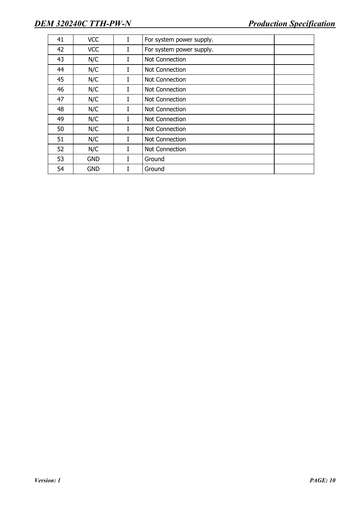| 41 | <b>VCC</b> | I | For system power supply. |
|----|------------|---|--------------------------|
| 42 | <b>VCC</b> | I | For system power supply. |
| 43 | N/C        | I | Not Connection           |
| 44 | N/C        | I | Not Connection           |
| 45 | N/C        | I | Not Connection           |
| 46 | N/C        | I | Not Connection           |
| 47 | N/C        | I | Not Connection           |
| 48 | N/C        | L | Not Connection           |
| 49 | N/C        | I | Not Connection           |
| 50 | N/C        | I | Not Connection           |
| 51 | N/C        | L | Not Connection           |
| 52 | N/C        | L | Not Connection           |
| 53 | <b>GND</b> | I | Ground                   |
| 54 | <b>GND</b> | T | Ground                   |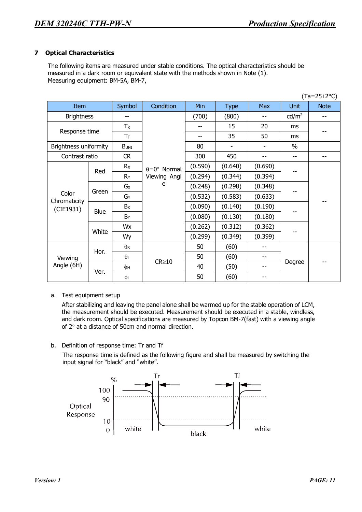#### **7 Optical Characteristics**

The following items are measured under stable conditions. The optical characteristics should be measured in a dark room or equivalent state with the methods shown in Note (1). Measuring equipment: BM-5A, BM-7,

| $(Ta=25\pm2°C)$       |                      |                |                             |         |             |            |                        |             |  |  |
|-----------------------|----------------------|----------------|-----------------------------|---------|-------------|------------|------------------------|-------------|--|--|
| Item                  |                      | Symbol         | Condition                   | Min     | <b>Type</b> | <b>Max</b> | <b>Unit</b>            | <b>Note</b> |  |  |
| <b>Brightness</b>     |                      | --             |                             | (700)   | (800)       | $-$        | $\text{cd}/\text{m}^2$ | $-$         |  |  |
|                       |                      | $T_R$          |                             |         | 15          | 20         | ms                     |             |  |  |
| Response time         |                      | TF             |                             |         | 35          | 50         | ms                     |             |  |  |
| Brightness uniformity |                      | <b>BUNI</b>    |                             | 80      |             |            | $\%$                   |             |  |  |
| Contrast ratio        |                      | <b>CR</b>      |                             | 300     | 450         | --         | --                     | $- -$       |  |  |
|                       |                      | Rx             | $\theta = 0^{\circ}$ Normal | (0.590) | (0.640)     | (0.690)    |                        |             |  |  |
|                       | Red                  | R <sub>Y</sub> | Viewing Angl                | (0.294) | (0.344)     | (0.394)    |                        |             |  |  |
|                       | Green<br><b>Blue</b> | Gx             | e                           | (0.248) | (0.298)     | (0.348)    |                        |             |  |  |
| Color<br>Chromaticity |                      | GY             |                             | (0.532) | (0.583)     | (0.633)    |                        |             |  |  |
| (CIE1931)             |                      | $B_X$          |                             | (0.090) | (0.140)     | (0.190)    |                        |             |  |  |
|                       |                      | By             |                             | (0.080) | (0.130)     | (0.180)    |                        |             |  |  |
|                       |                      | Wx             |                             | (0.262) | (0.312)     | (0.362)    |                        |             |  |  |
|                       | White                | Wy             |                             | (0.299) | (0.349)     | (0.399)    |                        |             |  |  |
|                       |                      | $\theta$ R     |                             | 50      | (60)        | --         |                        |             |  |  |
| Viewing               | Hor.                 | $\theta_L$     |                             | 50      | (60)        | $-$        |                        |             |  |  |
| Angle (6H)            |                      | φн             | $CR \ge 10$                 | 40      | (50)        | --         | Degree                 |             |  |  |
|                       | Ver.                 | φL             |                             | 50      | (60)        | --         |                        |             |  |  |

#### a. Test equipment setup

After stabilizing and leaving the panel alone shall be warmed up for the stable operation of LCM, the measurement should be executed. Measurement should be executed in a stable, windless, and dark room. Optical specifications are measured by Topcon BM-7(fast) with a viewing angle of 2° at a distance of 50cm and normal direction.

b. Definition of response time: Tr and Tf

The response time is defined as the following figure and shall be measured by switching the input signal for "black" and "white".

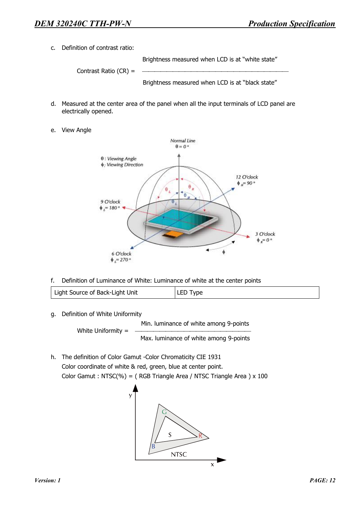c. Definition of contrast ratio:

Brightness measured when LCD is at "white state"

Contrast Ratio  $(CR) =$ 

Brightness measured when LCD is at "black state"

- d. Measured at the center area of the panel when all the input terminals of LCD panel are electrically opened.
- e. View Angle



f. Definition of Luminance of White: Luminance of white at the center points

| Light Source of Back-Light Unit | LED Type |
|---------------------------------|----------|
|---------------------------------|----------|

g. Definition of White Uniformity

White Uniformity  $=$ 

Min. luminance of white among 9-points Max. luminance of white among 9-points

h. The definition of Color Gamut -Color Chromaticity CIE 1931 Color coordinate of white & red, green, blue at center point. Color Gamut : NTSC(%) = ( RGB Triangle Area / NTSC Triangle Area ) x 100

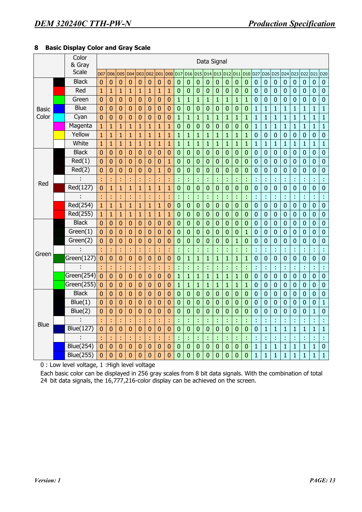## **8 Basic Display Color and Gray Scale**

|       | Color<br>& Gray        |                | Data Signal     |                |                 |                |                |                 |                |                  |                 |                  |                |                |                |                |                  |                  |                  |                 |                |                 |                |                |                  |
|-------|------------------------|----------------|-----------------|----------------|-----------------|----------------|----------------|-----------------|----------------|------------------|-----------------|------------------|----------------|----------------|----------------|----------------|------------------|------------------|------------------|-----------------|----------------|-----------------|----------------|----------------|------------------|
|       | Scale                  | <b>D07</b>     | D <sub>06</sub> | <b>D05</b>     | D <sub>04</sub> | <b>D03</b>     | <b>D02</b>     | D <sub>01</sub> | <b>D00</b>     | D <sub>17</sub>  | D <sub>16</sub> | D <sub>15</sub>  | D14            | D13 D12        |                | D11            | <b>D10</b>       | D <sub>27</sub>  | D <sub>26</sub>  | D <sub>25</sub> | D24            | D <sub>23</sub> | D22 D21        |                | D <sub>20</sub>  |
|       | <b>Black</b>           | $\overline{0}$ | $\mathbf{0}$    | $\mathbf{0}$   | $\mathbf{0}$    | $\overline{0}$ | $\overline{0}$ | $\mathbf{0}$    | $\mathbf{0}$   | $\mathbf{0}$     | $\mathbf{0}$    | $\mathbf{0}$     | $\mathbf{0}$   | $\mathbf 0$    | $\mathbf 0$    | $\mathbf 0$    | $\mathbf 0$      | $\mathbf 0$      | $\pmb{0}$        | $\overline{0}$  | $\mathbf{0}$   | $\mathbf 0$     | $\mathbf 0$    | $\mathbf 0$    | $\mathbf 0$      |
|       | Red                    | $\overline{1}$ | $\mathbf{1}$    | $\mathbf{1}$   | $\mathbf{1}$    | $\overline{1}$ | $\mathbf{1}$   | $\mathbf{1}$    | $\mathbf{1}$   | $\mathbf 0$      | $\mathbf 0$     | $\mathbf 0$      | $\mathbf 0$    | $\mathbf 0$    | $\mathbf 0$    | $\mathbf 0$    | $\mathbf 0$      | $\mathbf 0$      | $\boldsymbol{0}$ | $\mathbf 0$     | $\mathbf{0}$   | $\mathbf 0$     | $\mathbf 0$    | $\mathbf 0$    | $\mathbf 0$      |
|       | Green                  | 0              | $\mathbf{0}$    | $\mathbf{0}$   | $\mathbf{0}$    | $\overline{0}$ | $\mathbf{0}$   | $\mathbf 0$     | $\mathbf{0}$   | $\mathbf{1}$     | $\mathbf{1}$    | $\mathbf{1}$     | $\mathbf{1}$   | $\mathbf 1$    | $\mathbf{1}$   | $\overline{1}$ | $\overline{1}$   | $\mathbf 0$      | $\mathbf 0$      | $\overline{0}$  | $\mathbf 0$    | $\mathbf 0$     | $\mathbf 0$    | $\overline{0}$ | $\overline{0}$   |
| Basic | Blue                   | 0              | $\mathbf{0}$    | $\mathbf{0}$   | $\mathbf{0}$    | $\mathbf{0}$   | $\mathbf 0$    | $\mathbf{0}$    | $\mathbf{0}$   | $\mathbf 0$      | $\mathbf 0$     | $\mathbf 0$      | $\mathbf{0}$   | $\mathbf 0$    | $\pmb{0}$      | $\mathbf 0$    | $\mathbf{0}$     | $\mathbf{1}$     | $\mathbf{1}$     | $\mathbf{1}$    | $\mathbf{1}$   | $\mathbf{1}$    | $\mathbf{1}$   | $\mathbf{1}$   | $\mathbf{1}$     |
| Color | Cyan                   | $\overline{0}$ | $\mathbf{0}$    | $\mathbf{0}$   | $\overline{0}$  | $\overline{0}$ | $\overline{0}$ | 0               | $\mathbf{0}$   | $\mathbf{1}$     | $\mathbf{1}$    | $\overline{1}$   | $\overline{1}$ | $\mathbf{1}$   | $\mathbf{1}$   | $\mathbf{1}$   | $\mathbf{1}$     | $\mathbf{1}$     | $\mathbf{1}$     | $\mathbf{1}$    | $\overline{1}$ | $\mathbf{1}$    | $\mathbf{1}$   | $\mathbf{1}$   | $\mathbf{1}$     |
|       | Magenta                | $\mathbf{1}$   | $\mathbf{1}$    | $\mathbf{1}$   | $\mathbf{1}$    | $\mathbf{1}$   | $\overline{1}$ | $\mathbf{1}$    | $\mathbf{1}$   | $\pmb{0}$        | $\mathbf{0}$    | $\mathbf 0$      | $\pmb{0}$      | $\mathbf{0}$   | $\mathbf 0$    | $\mathbf{0}$   | $\mathbf 0$      | $\mathbf{1}$     | $\mathbf{1}$     | $\mathbf{1}$    | $\mathbf{1}$   | $\mathbf{1}$    | $\mathbf{1}$   | $\overline{1}$ | $\overline{1}$   |
|       | Yellow                 | $\mathbf{1}$   | 1               | $\mathbf{1}$   | $\mathbf{1}$    | $\mathbf{1}$   | $\mathbf{1}$   | $\mathbf{1}$    | $\mathbf{1}$   | $\mathbf{1}$     | $\mathbf{1}$    | $\mathbf{1}$     | $\overline{1}$ | $\mathbf 1$    | $\mathbf{1}$   | $\mathbf{1}$   | $\mathbf{1}$     | $\mathbf{0}$     | $\pmb{0}$        | $\mathbf 0$     | $\mathbf 0$    | $\mathbf 0$     | $\mathbf 0$    | $\mathbf 0$    | $\boldsymbol{0}$ |
|       | White                  | $\overline{1}$ | $\mathbf{1}$    | $\overline{1}$ | $\mathbf{1}$    | $\mathbf{1}$   | $\mathbf{1}$   | $\mathbf{1}$    | $\mathbf{1}$   | $\overline{1}$   | $\mathbf{1}$    | $\overline{1}$   | $\overline{1}$ | $\mathbf{1}$   | $\overline{1}$ | $\mathbf{1}$   | $\mathbf{1}$     | $\mathbf{1}$     | $\mathbf{1}$     | $\overline{1}$  | $\mathbf{1}$   | $\overline{1}$  | $\mathbf{1}$   | $\mathbf{1}$   | $\mathbf{1}$     |
|       | <b>Black</b>           | 0              | $\bf{0}$        | $\bf{0}$       | $\mathbf{0}$    | $\overline{0}$ | $\mathbf{0}$   | $\mathbf{0}$    | 0              | $\bf{0}$         | $\mathbf 0$     | $\mathbf{0}$     | $\mathbf 0$    | $\mathbf 0$    | $\overline{0}$ | $\mathbf{0}$   | $\boldsymbol{0}$ | $\mathbf 0$      | $\boldsymbol{0}$ | $\mathbf 0$     | $\mathbf 0$    | $\mathbf 0$     | $\mathbf 0$    | $\overline{0}$ | $\mathbf 0$      |
|       | Red(1)                 | $\mathbf{0}$   | $\mathbf{0}$    | $\bf{0}$       | $\mathbf{0}$    | $\bf{0}$       | $\bf{0}$       | $\bf{0}$        | $\mathbf{1}$   | $\mathbf 0$      | $\overline{0}$  | $\mathbf 0$      | $\mathbf 0$    | $\mathbf 0$    | $\overline{0}$ | $\overline{0}$ | $\mathbf 0$      | $\mathbf 0$      | $\mathbf 0$      | $\mathbf 0$     | $\overline{0}$ | $\mathbf 0$     | $\mathbf 0$    | $\overline{0}$ | $\mathbf 0$      |
|       | Red(2)                 | 0              | 0               | $\mathbf{0}$   | $\mathbf 0$     | $\overline{0}$ | $\overline{0}$ | $\mathbf{1}$    | $\mathbf 0$    | $\mathbf 0$      | $\mathbf 0$     | $\mathbf 0$      | $\bf{0}$       | $\mathbf 0$    | $\mathbf 0$    | $\overline{0}$ | 0                | $\mathbf 0$      | $\mathbf 0$      | $\mathbf 0$     | $\mathbf 0$    | $\mathbf 0$     | $\overline{0}$ | 0              | $\mathbf{0}$     |
|       |                        | t              | t               | ř,             | t               | t              | t              | t               | t              |                  | t               | t                | t              | t              | t              | t              | t                | t                | t                | t               | t              | t               | t              | Ì,             | ¢                |
| Red   | Red(127)               | $\overline{0}$ | $\mathbf{1}$    | $\mathbf{1}$   | $\mathbf{1}$    | $\mathbf{1}$   | $\mathbf{1}$   | $\overline{1}$  | $\mathbf{1}$   | $\pmb{0}$        | $\overline{0}$  | $\boldsymbol{0}$ | $\overline{0}$ | $\mathbf{0}$   | $\overline{0}$ | $\mathbf 0$    | $\overline{0}$   | $\mathbf 0$      | $\pmb{0}$        | $\overline{0}$  | $\mathbf 0$    | $\overline{0}$  | $\mathbf 0$    | $\overline{0}$ | $\mathbf 0$      |
|       |                        | ł              | t               | ł              | t               | ř,             | ł              | t               | ł              | t                | ř,              | t                | ł,             | t              | ł,             | ċ              | ċ                | ċ                | t                | ł               | t              | ř,              | t              | ł,             | ś                |
|       | Red(254)               | $\mathbf{1}$   | $\mathbf{1}$    | $\mathbf{1}$   | $\mathbf{1}$    | $\mathbf{1}$   | $\overline{1}$ | $\mathbf{1}$    | $\overline{0}$ | $\mathbf 0$      | $\mathbf 0$     | $\mathbf{0}$     | $\mathbf 0$    | $\mathbf 0$    | $\overline{0}$ | $\mathbf{0}$   | $\mathbf 0$      | $\mathbf 0$      | $\mathbf 0$      | $\mathbf 0$     | $\mathbf{0}$   | $\mathbf 0$     | $\mathbf 0$    | $\overline{0}$ | $\mathbf 0$      |
|       | Red(255)               | $\mathbf{1}$   | $\mathbf{1}$    | $\mathbf{1}$   | $\mathbf{1}$    | $\mathbf{1}$   | $\mathbf{1}$   | $\mathbf{1}$    | $\mathbf{1}$   | $\mathbf 0$      | $\overline{0}$  | $\mathbf 0$      | $\mathbf 0$    | $\mathbf 0$    | $\overline{0}$ | $\overline{0}$ | $\mathbf 0$      | $\mathbf{0}$     | $\mathbf 0$      | $\overline{0}$  | $\mathbf 0$    | $\mathbf 0$     | $\mathbf 0$    | $\overline{0}$ | $\overline{0}$   |
|       | <b>Black</b>           | $\overline{0}$ | 0               | $\mathbf{0}$   | $\overline{0}$  | $\mathbf{0}$   | $\overline{0}$ | 0               | $\mathbf 0$    | $\mathbf 0$      | $\mathbf 0$     | $\mathbf 0$      | $\mathbf{0}$   | $\overline{0}$ | $\mathbf 0$    | $\overline{0}$ | $\mathbf 0$      | $\mathbf 0$      | $\mathbf 0$      | $\mathbf 0$     | $\mathbf 0$    | $\mathbf 0$     | $\overline{0}$ | 0              | $\mathbf{0}$     |
|       | Green(1)               | $\overline{0}$ | $\overline{0}$  | $\mathbf 0$    | $\mathbf{0}$    | $\mathbf{0}$   | $\overline{0}$ | 0               | $\mathbf 0$    | $\mathbf 0$      | $\mathbf 0$     | $\overline{0}$   | $\bf{0}$       | $\mathbf 0$    | $\mathbf 0$    | $\overline{0}$ | $\mathbf{1}$     | $\mathbf 0$      | $\mathbf 0$      | $\mathbf 0$     | $\mathbf 0$    | $\mathbf 0$     | $\mathbf 0$    | $\overline{0}$ | $\mathbf 0$      |
|       | Green(2)               | $\overline{0}$ | $\mathbf{0}$    | $\mathbf 0$    | $\mathbf{0}$    | $\pmb{0}$      | $\mathbf 0$    | $\mathbf{0}$    | $\mathbf 0$    | $\mathbf{0}$     | $\mathbf 0$     | $\mathbf 0$      | $\overline{0}$ | $\mathbf 0$    | $\mathbf 0$    | $\mathbf{1}$   | $\mathbf 0$      | $\mathbf 0$      | $\mathbf 0$      | $\mathbf 0$     | $\pmb{0}$      | $\mathbf 0$     | $\mathbf 0$    | $\overline{0}$ | $\mathbf{0}$     |
| Green |                        | t              | t               | t              | t               | t              | ł              | ł               | ł              | t                | t               | t                | t              | Ì              | ř,             | t              | Ì                | t                | t                | ł               | t              | ł,              | t              | ł,             | ł                |
|       | Green(127)             | $\overline{0}$ | $\overline{0}$  | $\mathbf{0}$   | $\mathbf{0}$    | $\overline{0}$ | $\overline{0}$ | $\overline{0}$  | $\overline{0}$ | $\overline{0}$   | $\overline{1}$  | $\overline{1}$   | $\mathbf{1}$   | $\overline{1}$ | $\overline{1}$ | $\overline{1}$ | $\overline{1}$   | $\mathbf 0$      | $\mathbf 0$      | $\overline{0}$  | $\mathbf 0$    | $\mathbf 0$     | $\overline{0}$ | $\overline{0}$ | $\mathbf 0$      |
|       |                        | t              |                 | t              |                 | t              | t              | t               | t              |                  | t               |                  | t              |                | t              | t              | t                | t                | t                | ł,              | t              |                 |                | t              | t                |
|       | Green(254)             | $\bf{0}$       | 0               | $\mathbf{0}$   | $\mathbf{0}$    | $\overline{0}$ | $\bf{0}$       | 0               | $\mathbf{0}$   | $\mathbf{1}$     | $\mathbf{1}$    | $\mathbf{1}$     | $\overline{1}$ | $\mathbf{1}$   | $\mathbf{1}$   | $\mathbf{1}$   | $\mathbf 0$      | $\mathbf 0$      | $\pmb{0}$        | $\mathbf 0$     | $\mathbf 0$    | $\mathbf 0$     | $\bf{0}$       | $\overline{0}$ | $\mathbf 0$      |
|       | Green(255)             | $\bf{0}$       | 0               | $\bf{0}$       | $\mathbf{0}$    | $\mathbf{0}$   | $\overline{0}$ | 0               | $\mathbf{0}$   | $\mathbf{1}$     | $\overline{1}$  | $\overline{1}$   | $\mathbf{1}$   | $\mathbf{1}$   | $\mathbf{1}$   | $\mathbf{1}$   | $\mathbf{1}$     | $\mathbf 0$      | $\pmb{0}$        | $\mathbf 0$     | $\mathbf 0$    | $\mathbf 0$     | $\mathbf{0}$   | $\overline{0}$ | $\overline{0}$   |
|       | <b>Black</b>           | 0              | $\bf{0}$        | $\bf{0}$       | $\mathbf{0}$    | $\bf{0}$       | $\bf{0}$       | $\bf{0}$        | $\bf{0}$       | $\pmb{0}$        | $\mathbf 0$     | $\mathbf{0}$     | $\mathbf 0$    | $\mathbf{0}$   | $\mathbf 0$    | 0              | $\mathbf 0$      | $\boldsymbol{0}$ | $\boldsymbol{0}$ | $\mathbf 0$     | $\mathbf 0$    | $\mathbf 0$     | $\mathbf 0$    | $\mathbf 0$    | $\mathbf 0$      |
|       | $B$ lue $(1)$          | $\mathbf 0$    | $\bf{0}$        | $\mathbf 0$    | $\mathbf{0}$    | $\overline{0}$ | $\mathbf{0}$   | $\bf{0}$        | $\mathbf{0}$   | $\boldsymbol{0}$ | $\mathbf 0$     | $\mathbf{0}$     | $\mathbf 0$    | $\mathbf 0$    | $\mathbf 0$    | 0              | $\bf 0$          | $\mathbf 0$      | $\mathbf 0$      | $\mathbf 0$     | $\mathbf 0$    | $\mathbf 0$     | $\mathbf 0$    | $\overline{0}$ | $\overline{1}$   |
|       | Blue(2)                | 0              | $\overline{0}$  | $\mathbf 0$    | $\mathbf{0}$    | $\overline{0}$ | $\overline{0}$ | $\overline{0}$  | $\overline{0}$ | $\mathbf 0$      | $\overline{0}$  | $\mathbf 0$      | $\overline{0}$ | $\mathbf 0$    | $\overline{0}$ | $\overline{0}$ | $\overline{0}$   | $\mathbf 0$      | $\overline{0}$   | $\mathbf 0$     | $\mathbf 0$    | $\mathbf 0$     | $\mathbf 0$    | $\mathbf{1}$   | $\overline{0}$   |
| Blue  |                        | t              |                 | t              |                 | t              | t              | t               | t              |                  | t               |                  | t              |                | t              |                | Ì                | t                | t                | t               |                |                 |                | t              | t                |
|       | <b>Blue(127)</b>       | 0              | $\mathbf 0$     | $\mathbf 0$    | $\mathbf{0}$    | $\bf{0}$       | $\mathbf{0}$   | 0               | $\mathbf{0}$   | $\boldsymbol{0}$ | $\mathbf 0$     | $\mathbf 0$      | $\bf{0}$       | $\mathbf 0$    | $\bf{0}$       | $\mathbf{0}$   | $\bf{0}$         | $\mathbf 0$      | $\mathbf{1}$     | $\overline{1}$  | $\mathbf{1}$   | $\overline{1}$  | $\mathbf{1}$   | $\mathbf{1}$   | $\overline{1}$   |
|       |                        | t              | t               | t              | t               | t              | ċ              | t               | t              | t                | t               | t                | t              | t              | t              | t              | ł                | t                | t                | t               | t              | t               | t              | t              | ¢                |
|       | $\overline{Blue}(254)$ | $\bf{0}$       | $\bf{0}$        | 0              | $\mathbf{0}$    | $\bf{0}$       | $\bf{0}$       | $\bf{0}$        | 0              | $\pmb{0}$        | $\mathbf 0$     | $\boldsymbol{0}$ | 0              | $\mathbf{0}$   | $\bf{0}$       | 0              | $\pmb{0}$        | $\mathbf{1}$     | $\mathbf{1}$     | $\mathbf{1}$    | $\mathbf{1}$   | $\mathbf{1}$    | $\mathbf{1}$   | $\mathbf{1}$   | $\mathbf 0$      |
|       | <b>Blue(255)</b>       | $\overline{0}$ | $\overline{0}$  | $\overline{0}$ | $\overline{0}$  | $\overline{0}$ | $\overline{0}$ | $\overline{0}$  | $\overline{0}$ | $\overline{0}$   | $\overline{0}$  | $\mathbf 0$      | $\overline{0}$ | $\mathbf 0$    | $\overline{0}$ | $\overline{0}$ | $\overline{0}$   | $\overline{1}$   | $\overline{1}$   | $\overline{1}$  | $\mathbf{1}$   | $\overline{1}$  | $\mathbf{1}$   | $\mathbf{1}$   | $\overline{1}$   |

0 : Low level voltage, 1 :High level voltage

Each basic color can be displayed in 256 gray scales from 8 bit data signals. With the combination of total 24 bit data signals, the 16,777,216-color display can be achieved on the screen.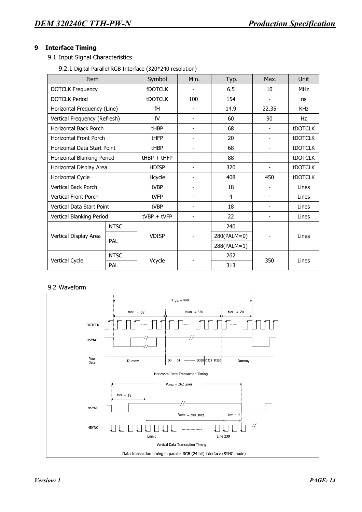## **9 Interface Timing**

9.1 Input Signal Characteristics

9.2.1 Digital Parallel RGB Interface (320\*240 resolution)

| Item                             |               | Symbol         | Min.                     | Typ.        | Max.           | Unit           |  |
|----------------------------------|---------------|----------------|--------------------------|-------------|----------------|----------------|--|
| <b>DOTCLK Frequency</b>          |               | <b>fDOTCLK</b> |                          | 6.5         | 10             | <b>MHz</b>     |  |
| <b>DOTCLK Period</b>             |               | <b>tDOTCLK</b> | 100                      | 154         |                | ns             |  |
| Horizontal Frequency (Line)      |               | fH             |                          | 14.9        | 22.35          | <b>KHz</b>     |  |
| Vertical Frequency (Refresh)     |               | fV             | -                        | 60          | 90             | Hz             |  |
| Horizontal Back Porch            |               | tHBP           | -                        | 68          | ٠              | <b>tDOTCLK</b> |  |
| Horizontal Front Porch           |               | tHFP           |                          | 20          | ٠              | <b>tDOTCLK</b> |  |
| Horizontal Data Start Point      | tHBP          | -              | 68                       | ٠           | <b>tDOTCLK</b> |                |  |
| Horizontal Blanking Period       | $tHBP + tHFP$ | -              | 88                       | ٠           | <b>tDOTCLK</b> |                |  |
| Horizontal Display Area          |               | <b>HDISP</b>   | $\overline{\phantom{0}}$ | 320         |                | <b>tDOTCLK</b> |  |
| Horizontal Cycle                 |               | Hcycle         |                          | 408         | 450            | <b>tDOTCLK</b> |  |
| <b>Vertical Back Porch</b>       |               | tVBP           | $\overline{\phantom{0}}$ | 18          |                | Lines          |  |
| <b>Vertical Front Porch</b>      |               | tVFP           | 4                        |             |                | Lines          |  |
| <b>Vertical Data Start Point</b> |               | tVBP           |                          | 18          |                | Lines          |  |
| Vertical Blanking Period         |               | $tVBP + tVFP$  |                          | 22          |                | Lines          |  |
|                                  | <b>NTSC</b>   |                |                          | 240         |                |                |  |
| Vertical Display Area            | PAL           | <b>VDISP</b>   |                          | 280(PALM=0) |                | Lines          |  |
|                                  |               |                |                          | 288(PALM=1) |                |                |  |
|                                  | <b>NTSC</b>   |                |                          | 262         |                |                |  |
| Vertical Cycle                   | PAL           | Vcycle         |                          | 313         | 350            | Lines          |  |

#### 9.2 Waveform

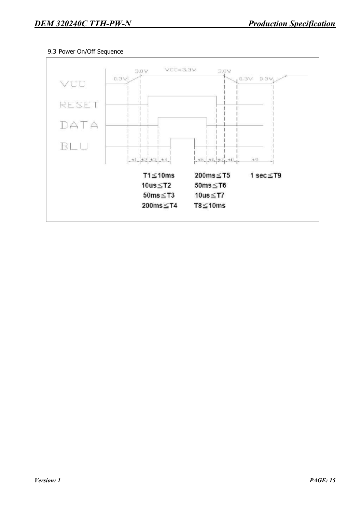## 9.3 Power On/Off Sequence

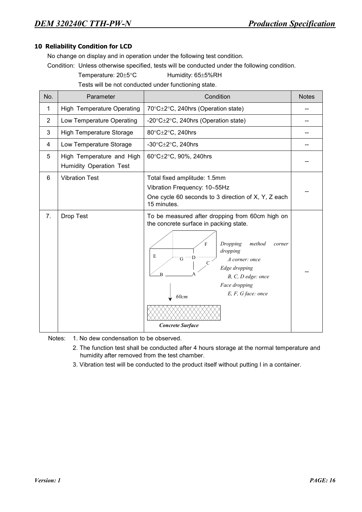## **10 Reliability Condition for LCD**

No change on display and in operation under the following test condition.

Condition: Unless otherwise specified, tests will be conducted under the following condition.

Temperature: 20±5°C Humidity: 65±5%RH

Tests will be not conducted under functioning state.

| No.            | Parameter                                            | Condition                                                                                                                                                                                                                                                                               | <b>Notes</b> |
|----------------|------------------------------------------------------|-----------------------------------------------------------------------------------------------------------------------------------------------------------------------------------------------------------------------------------------------------------------------------------------|--------------|
| 1              | High Temperature Operating                           | 70°C±2°C, 240hrs (Operation state)                                                                                                                                                                                                                                                      |              |
| $\overline{2}$ | Low Temperature Operating                            | -20 $\textdegree$ C $\pm$ 2 $\textdegree$ C, 240hrs (Operation state)                                                                                                                                                                                                                   |              |
| 3              | <b>High Temperature Storage</b>                      | 80°C±2°C, 240hrs                                                                                                                                                                                                                                                                        |              |
| 4              | Low Temperature Storage                              | -30 $\textdegree$ C $\pm$ 2 $\textdegree$ C, 240hrs                                                                                                                                                                                                                                     |              |
| 5              | High Temperature and High<br>Humidity Operation Test | 60°C±2°C, 90%, 240hrs                                                                                                                                                                                                                                                                   |              |
| 6              | <b>Vibration Test</b>                                | Total fixed amplitude: 1.5mm<br>Vibration Frequency: 10~55Hz<br>One cycle 60 seconds to 3 direction of X, Y, Z each<br>15 minutes.                                                                                                                                                      |              |
| 7.             | Drop Test                                            | To be measured after dropping from 60cm high on<br>the concrete surface in packing state.<br>Dropping<br>method<br>corner<br>F<br>dropping<br>E<br>G<br>A corner: once<br>Edge dropping<br>B, C, D edge: once<br>Face dropping<br>E, F, G face: once<br>60cm<br><b>Concrete Surface</b> |              |

Notes: 1. No dew condensation to be observed.

- 2. The function test shall be conducted after 4 hours storage at the normal temperature and humidity after removed from the test chamber.
- 3. Vibration test will be conducted to the product itself without putting I in a container.